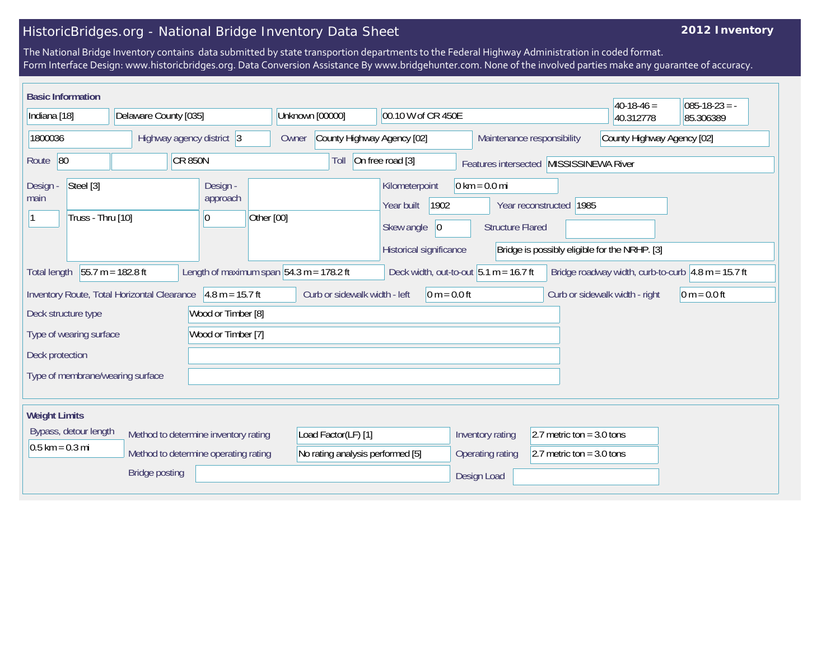## HistoricBridges.org - National Bridge Inventory Data Sheet

## **2012 Inventory**

The National Bridge Inventory contains data submitted by state transportion departments to the Federal Highway Administration in coded format. Form Interface Design: www.historicbridges.org. Data Conversion Assistance By www.bridgehunter.com. None of the involved parties make any guarantee of accuracy.

| <b>Basic Information</b>                                                                                 |                     |                                             |                                      |                    |                                                                                                                                                                                                                                |                                          |                                                 |                                                      |                            | $40-18-46=$                    | $085-18-23 = -$ |  |
|----------------------------------------------------------------------------------------------------------|---------------------|---------------------------------------------|--------------------------------------|--------------------|--------------------------------------------------------------------------------------------------------------------------------------------------------------------------------------------------------------------------------|------------------------------------------|-------------------------------------------------|------------------------------------------------------|----------------------------|--------------------------------|-----------------|--|
| Indiana [18]                                                                                             |                     | Delaware County [035]                       |                                      |                    |                                                                                                                                                                                                                                | Unknown [00000]                          | 00.10 W of CR 450E                              |                                                      |                            | 40.312778                      | 85.306389       |  |
| 1800036                                                                                                  |                     | Highway agency district 3                   |                                      |                    | Owner                                                                                                                                                                                                                          |                                          | County Highway Agency [02]                      |                                                      | Maintenance responsibility | County Highway Agency [02]     |                 |  |
| Route 80<br><b>CR 850N</b>                                                                               |                     |                                             | On free road [3]<br>Toll             |                    | Features intersected MISSISSINEWA River                                                                                                                                                                                        |                                          |                                                 |                                                      |                            |                                |                 |  |
| Steel [3]<br>Design -<br>main<br>Truss - Thru [10]                                                       |                     | Design -<br>approach<br>10                  | Other [00]                           |                    | $0 \text{ km} = 0.0 \text{ mi}$<br>Kilometerpoint<br>1902<br>Year reconstructed 1985<br>Year built<br>Skew angle<br> 0 <br><b>Structure Flared</b><br>Historical significance<br>Bridge is possibly eligible for the NRHP. [3] |                                          |                                                 |                                                      |                            |                                |                 |  |
| 55.7 m = 182.8 ft<br>Length of maximum span $ 54.3 \text{ m} = 178.2 \text{ ft} $<br><b>Total length</b> |                     |                                             |                                      |                    |                                                                                                                                                                                                                                | Deck width, out-to-out $5.1 m = 16.7 ft$ |                                                 | Bridge roadway width, curb-to-curb $4.8$ m = 15.7 ft |                            |                                |                 |  |
|                                                                                                          |                     | Inventory Route, Total Horizontal Clearance |                                      | $4.8 m = 15.7 ft$  |                                                                                                                                                                                                                                | Curb or sidewalk width - left            | $0 m = 0.0 ft$                                  |                                                      |                            | Curb or sidewalk width - right | $0 m = 0.0 ft$  |  |
|                                                                                                          | Deck structure type |                                             |                                      | Wood or Timber [8] |                                                                                                                                                                                                                                |                                          |                                                 |                                                      |                            |                                |                 |  |
| Wood or Timber [7]<br>Type of wearing surface                                                            |                     |                                             |                                      |                    |                                                                                                                                                                                                                                |                                          |                                                 |                                                      |                            |                                |                 |  |
| Deck protection                                                                                          |                     |                                             |                                      |                    |                                                                                                                                                                                                                                |                                          |                                                 |                                                      |                            |                                |                 |  |
|                                                                                                          |                     | Type of membrane/wearing surface            |                                      |                    |                                                                                                                                                                                                                                |                                          |                                                 |                                                      |                            |                                |                 |  |
|                                                                                                          |                     |                                             |                                      |                    |                                                                                                                                                                                                                                |                                          |                                                 |                                                      |                            |                                |                 |  |
| <b>Weight Limits</b>                                                                                     |                     |                                             |                                      |                    |                                                                                                                                                                                                                                |                                          |                                                 |                                                      |                            |                                |                 |  |
| Bypass, detour length                                                                                    |                     |                                             | Method to determine inventory rating |                    | Load Factor(LF) [1]                                                                                                                                                                                                            |                                          | Inventory rating<br>2.7 metric ton = $3.0$ tons |                                                      |                            |                                |                 |  |
| $0.5$ km = 0.3 mi                                                                                        |                     | Method to determine operating rating        |                                      |                    |                                                                                                                                                                                                                                | No rating analysis performed [5]         |                                                 | 2.7 metric ton = $3.0$ tons<br>Operating rating      |                            |                                |                 |  |
| <b>Bridge posting</b>                                                                                    |                     |                                             |                                      |                    |                                                                                                                                                                                                                                | Design Load                              |                                                 |                                                      |                            |                                |                 |  |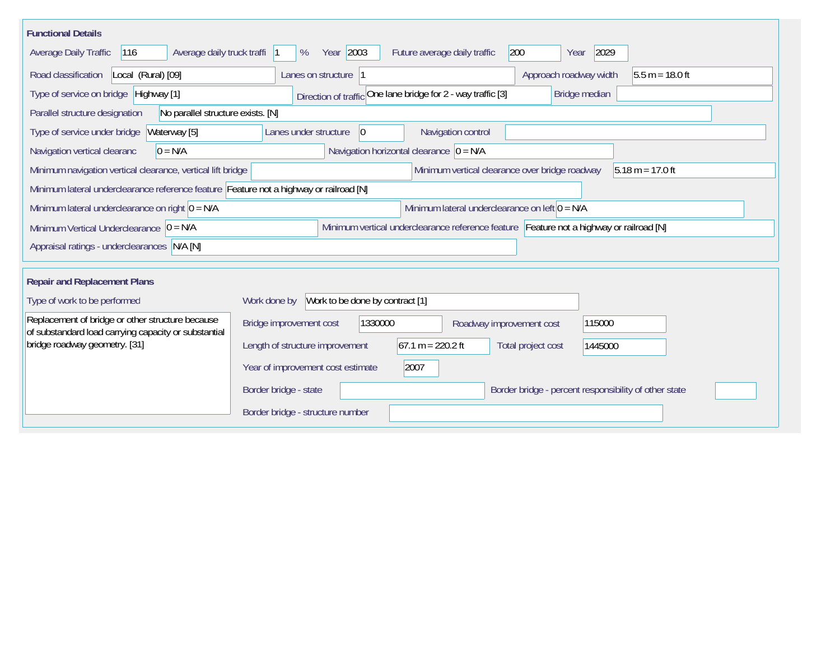| <b>Functional Details</b>                                                                                                             |                                                                                         |  |  |  |  |  |  |  |  |  |
|---------------------------------------------------------------------------------------------------------------------------------------|-----------------------------------------------------------------------------------------|--|--|--|--|--|--|--|--|--|
| Average daily truck traffi<br>116<br>Average Daily Traffic                                                                            | Year 2003<br>200<br>2029<br>%<br>Future average daily traffic<br>Year                   |  |  |  |  |  |  |  |  |  |
| Road classification<br>Local (Rural) [09]                                                                                             | Approach roadway width<br>$5.5 m = 18.0 ft$<br>Lanes on structure  1                    |  |  |  |  |  |  |  |  |  |
| Direction of traffic One lane bridge for 2 - way traffic [3]<br>Type of service on bridge Highway [1]<br>Bridge median                |                                                                                         |  |  |  |  |  |  |  |  |  |
| No parallel structure exists. [N]<br>Parallel structure designation                                                                   |                                                                                         |  |  |  |  |  |  |  |  |  |
| Waterway [5]<br>Type of service under bridge                                                                                          | 0 <br>Navigation control<br>Lanes under structure                                       |  |  |  |  |  |  |  |  |  |
| Navigation horizontal clearance $ 0 = N/A$<br>Navigation vertical clearanc<br>$0 = N/A$                                               |                                                                                         |  |  |  |  |  |  |  |  |  |
| Minimum vertical clearance over bridge roadway<br>Minimum navigation vertical clearance, vertical lift bridge<br>$5.18 m = 17.0 ft$   |                                                                                         |  |  |  |  |  |  |  |  |  |
| Minimum lateral underclearance reference feature Feature not a highway or railroad [N]                                                |                                                                                         |  |  |  |  |  |  |  |  |  |
| Minimum lateral underclearance on right $ 0 = N/A$                                                                                    | Minimum lateral underclearance on left $0 = N/A$                                        |  |  |  |  |  |  |  |  |  |
| Minimum vertical underclearance reference feature Feature not a highway or railroad [N]<br>Minimum Vertical Underclearance $ 0 = N/A$ |                                                                                         |  |  |  |  |  |  |  |  |  |
| Appraisal ratings - underclearances N/A [N]                                                                                           |                                                                                         |  |  |  |  |  |  |  |  |  |
|                                                                                                                                       |                                                                                         |  |  |  |  |  |  |  |  |  |
| <b>Repair and Replacement Plans</b>                                                                                                   |                                                                                         |  |  |  |  |  |  |  |  |  |
| Type of work to be performed                                                                                                          | Work to be done by contract [1]<br>Work done by                                         |  |  |  |  |  |  |  |  |  |
| Replacement of bridge or other structure because<br>of substandard load carrying capacity or substantial                              | Bridge improvement cost<br>1330000<br>115000<br>Roadway improvement cost                |  |  |  |  |  |  |  |  |  |
| bridge roadway geometry. [31]                                                                                                         | $67.1 m = 220.2 ft$<br>Length of structure improvement<br>Total project cost<br>1445000 |  |  |  |  |  |  |  |  |  |
|                                                                                                                                       | Year of improvement cost estimate<br>2007                                               |  |  |  |  |  |  |  |  |  |
|                                                                                                                                       | Border bridge - state<br>Border bridge - percent responsibility of other state          |  |  |  |  |  |  |  |  |  |
|                                                                                                                                       | Border bridge - structure number                                                        |  |  |  |  |  |  |  |  |  |